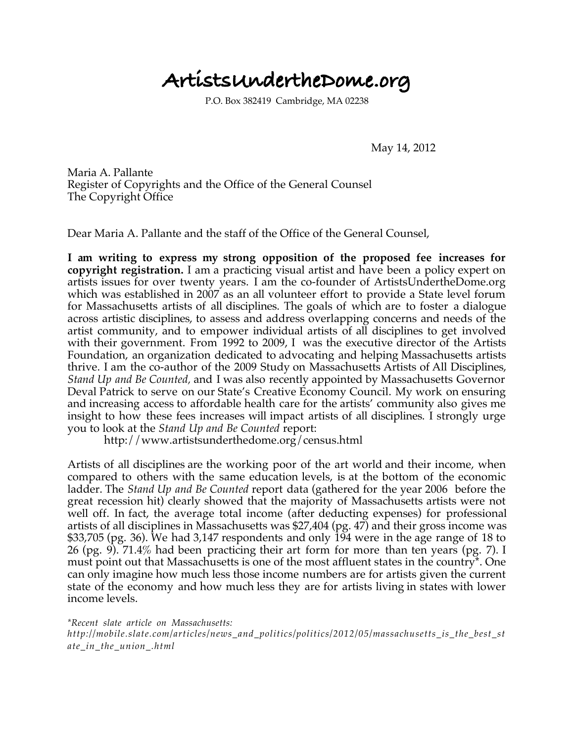## **ArtistsUndertheDome.org**

P.O. Box 382419 Cambridge, MA 02238

May 14, 2012

Maria A. Pallante Register of Copyrights and the Office of the General Counsel The Copyright Office

Dear Maria A. Pallante and the staff of the Office of the General Counsel,

**I am writing to express my strong opposition of the proposed fee increases for copyright registration.** I am a practicing visual artist and have been a policy expert on artists issues for over twenty years. I am the co-founder of ArtistsUndertheDome.org which was established in 2007 as an all volunteer effort to provide a State level forum for Massachusetts artists of all disciplines. The goals of which are to foster a dialogue across artistic disciplines, to assess and address overlapping concerns and needs of the artist community, and to empower individual artists of all disciplines to get involved with their government. From 1992 to 2009, I was the executive director of the Artists Foundation, an organization dedicated to advocating and helping Massachusetts artists thrive. I am the co-author of the 2009 Study on Massachusetts Artists of All Disciplines, *Stand Up and Be Counted,* and I was also recently appointed by Massachusetts Governor Deval Patrick to serve on our State's Creative Economy Council. My work on ensuring and increasing access to affordable health care for the artists' community also gives me insight to how these fees increases will impact artists of all disciplines. I strongly urge you to look at the *Stand Up and Be Counted* report:

http://www.artistsunderthedome.org/census.html

Artists of all disciplines are the working poor of the art world and their income, when compared to others with the same education levels, is at the bottom of the economic ladder. The *Stand Up and Be Counted* report data (gathered for the year 2006 before the great recession hit) clearly showed that the majority of Massachusetts artists were not well off. In fact, the average total income (after deducting expenses) for professional artists of all disciplines in Massachusetts was \$27,404 (pg. 47) and their gross income was \$33,705 (pg. 36). We had 3,147 respondents and only 194 were in the age range of 18 to 26 (pg. 9). 71.4% had been practicing their art form for more than ten years (pg. 7). I must point out that Massachusetts is one of the most affluent states in the country\*. One can only imagine how much less those income numbers are for artists given the current state of the economy and how much less they are for artists living in states with lower income levels.

*\*Recent slate article on Massachusetts:*

*http://mobile.slate.com/articles/news\_and\_politics/politics/2012/05/massachusetts\_is\_the\_best\_st ate\_in\_the\_union\_.html*